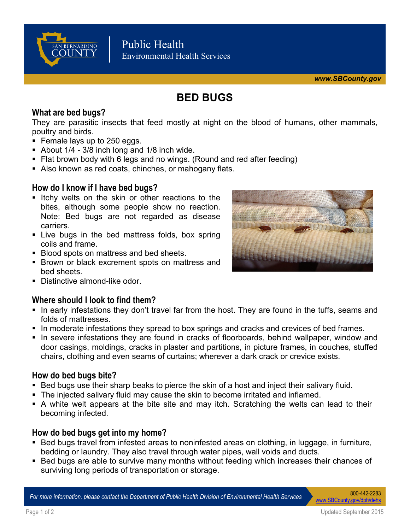

# **BED BUGS**

## **What are bed bugs?**

They are parasitic insects that feed mostly at night on the blood of humans, other mammals, poultry and birds.

- **Female lays up to 250 eggs.**
- About  $1/4 3/8$  inch long and  $1/8$  inch wide.
- Flat brown body with 6 legs and no wings. (Round and red after feeding)
- Also known as red coats, chinches, or mahogany flats.

## **How do I know if I have bed bugs?**

- Itchy welts on the skin or other reactions to the bites, although some people show no reaction. Note: Bed bugs are not regarded as disease carriers.
- **Example 1** Live bugs in the bed mattress folds, box spring coils and frame.
- **Blood spots on mattress and bed sheets.**
- **Brown or black excrement spots on mattress and** bed sheets.
- **Distinctive almond-like odor**

## **Where should I look to find them?**

- In early infestations they don't travel far from the host. They are found in the tuffs, seams and folds of mattresses.
- In moderate infestations they spread to box springs and cracks and crevices of bed frames.
- In severe infestations they are found in cracks of floorboards, behind wallpaper, window and door casings, moldings, cracks in plaster and partitions, in picture frames, in couches, stuffed chairs, clothing and even seams of curtains; wherever a dark crack or crevice exists.

## **How do bed bugs bite?**

- Bed bugs use their sharp beaks to pierce the skin of a host and inject their salivary fluid.
- The injected salivary fluid may cause the skin to become irritated and inflamed.
- A white welt appears at the bite site and may itch. Scratching the welts can lead to their becoming infected.

## **How do bed bugs get into my home?**

- Bed bugs travel from infested areas to noninfested areas on clothing, in luggage, in furniture, bedding or laundry. They also travel through water pipes, wall voids and ducts.
- Bed bugs are able to survive many months without feeding which increases their chances of surviving long periods of transportation or storage.

*For more information, please contact the Department of Public Health Division of Environmental Health Services* 800-442-2283